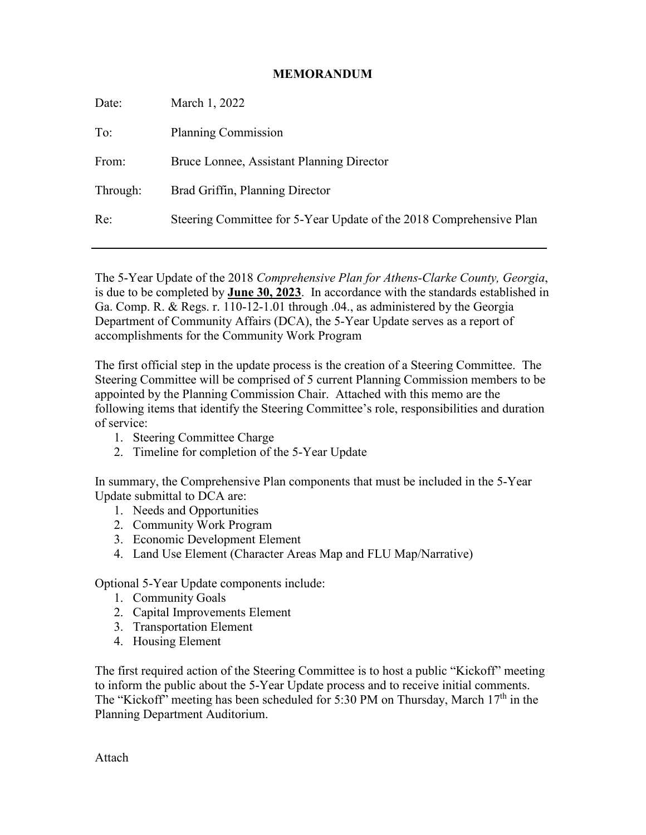#### **MEMORANDUM**

| Date:    | March 1, 2022                                                       |
|----------|---------------------------------------------------------------------|
| To:      | Planning Commission                                                 |
| From:    | Bruce Lonnee, Assistant Planning Director                           |
| Through: | Brad Griffin, Planning Director                                     |
| Re:      | Steering Committee for 5-Year Update of the 2018 Comprehensive Plan |
|          |                                                                     |

The 5-Year Update of the 2018 *Comprehensive Plan for Athens-Clarke County, Georgia*, is due to be completed by **June 30, 2023**. In accordance with the standards established in Ga. Comp. R. & Regs. r. 110-12-1.01 through .04., as administered by the Georgia Department of Community Affairs (DCA), the 5-Year Update serves as a report of accomplishments for the Community Work Program

The first official step in the update process is the creation of a Steering Committee. The Steering Committee will be comprised of 5 current Planning Commission members to be appointed by the Planning Commission Chair. Attached with this memo are the following items that identify the Steering Committee's role, responsibilities and duration of service:

- 1. Steering Committee Charge
- 2. Timeline for completion of the 5-Year Update

In summary, the Comprehensive Plan components that must be included in the 5-Year Update submittal to DCA are:

- 1. Needs and Opportunities
- 2. Community Work Program
- 3. Economic Development Element
- 4. Land Use Element (Character Areas Map and FLU Map/Narrative)

Optional 5-Year Update components include:

- 1. Community Goals
- 2. Capital Improvements Element
- 3. Transportation Element
- 4. Housing Element

The first required action of the Steering Committee is to host a public "Kickoff" meeting to inform the public about the 5-Year Update process and to receive initial comments. The "Kickoff" meeting has been scheduled for 5:30 PM on Thursday, March  $17<sup>th</sup>$  in the Planning Department Auditorium.

Attach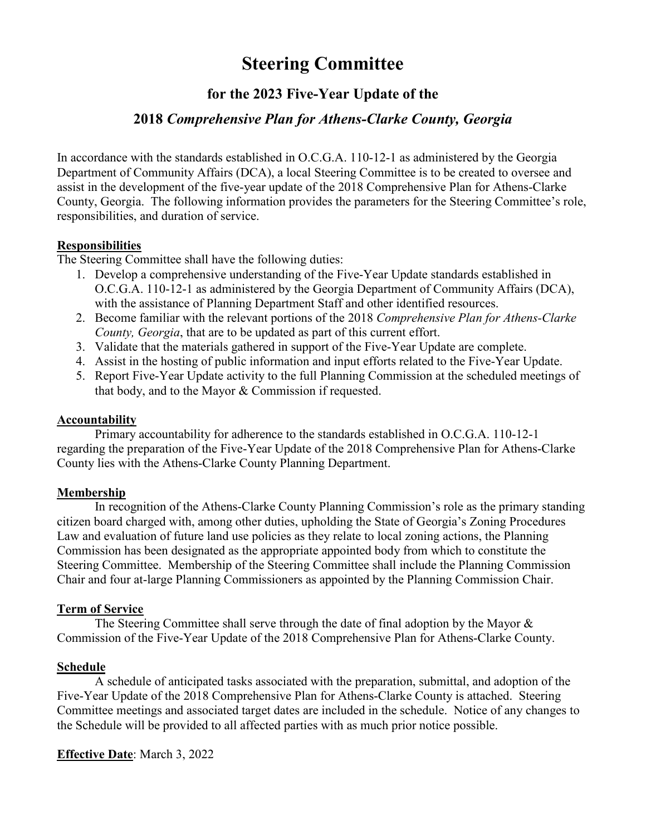# **Steering Committee**

## **for the 2023 Five-Year Update of the**

### **2018** *Comprehensive Plan for Athens-Clarke County, Georgia*

In accordance with the standards established in O.C.G.A. 110-12-1 as administered by the Georgia Department of Community Affairs (DCA), a local Steering Committee is to be created to oversee and assist in the development of the five-year update of the 2018 Comprehensive Plan for Athens-Clarke County, Georgia. The following information provides the parameters for the Steering Committee's role, responsibilities, and duration of service.

#### **Responsibilities**

The Steering Committee shall have the following duties:

- 1. Develop a comprehensive understanding of the Five-Year Update standards established in O.C.G.A. 110-12-1 as administered by the Georgia Department of Community Affairs (DCA), with the assistance of Planning Department Staff and other identified resources.
- 2. Become familiar with the relevant portions of the 2018 *Comprehensive Plan for Athens-Clarke County, Georgia*, that are to be updated as part of this current effort.
- 3. Validate that the materials gathered in support of the Five-Year Update are complete.
- 4. Assist in the hosting of public information and input efforts related to the Five-Year Update.
- 5. Report Five-Year Update activity to the full Planning Commission at the scheduled meetings of that body, and to the Mayor & Commission if requested.

#### **Accountability**

Primary accountability for adherence to the standards established in O.C.G.A. 110-12-1 regarding the preparation of the Five-Year Update of the 2018 Comprehensive Plan for Athens-Clarke County lies with the Athens-Clarke County Planning Department.

#### **Membership**

In recognition of the Athens-Clarke County Planning Commission's role as the primary standing citizen board charged with, among other duties, upholding the State of Georgia's Zoning Procedures Law and evaluation of future land use policies as they relate to local zoning actions, the Planning Commission has been designated as the appropriate appointed body from which to constitute the Steering Committee. Membership of the Steering Committee shall include the Planning Commission Chair and four at-large Planning Commissioners as appointed by the Planning Commission Chair.

#### **Term of Service**

The Steering Committee shall serve through the date of final adoption by the Mayor  $\&$ Commission of the Five-Year Update of the 2018 Comprehensive Plan for Athens-Clarke County.

#### **Schedule**

A schedule of anticipated tasks associated with the preparation, submittal, and adoption of the Five-Year Update of the 2018 Comprehensive Plan for Athens-Clarke County is attached. Steering Committee meetings and associated target dates are included in the schedule. Notice of any changes to the Schedule will be provided to all affected parties with as much prior notice possible.

#### **Effective Date**: March 3, 2022